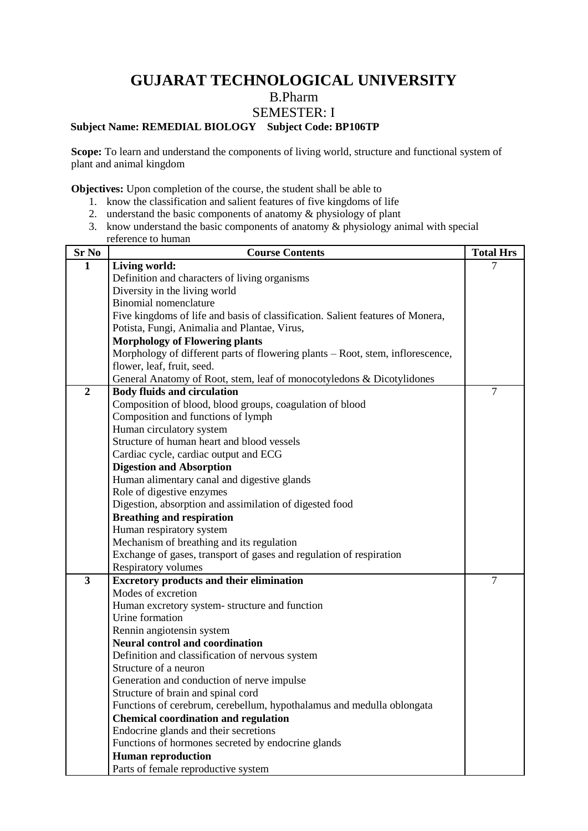# **GUJARAT TECHNOLOGICAL UNIVERSITY** B.Pharm SEMESTER: I

## **Subject Name: REMEDIAL BIOLOGY Subject Code: BP106TP**

Scope: To learn and understand the components of living world, structure and functional system of plant and animal kingdom

**Objectives:** Upon completion of the course, the student shall be able to

- 1. know the classification and salient features of five kingdoms of life
- 2. understand the basic components of anatomy & physiology of plant
- 3. know understand the basic components of anatomy & physiology animal with special reference to human

| Sr No                   | <b>Course Contents</b>                                                         | <b>Total Hrs</b> |
|-------------------------|--------------------------------------------------------------------------------|------------------|
| $\mathbf{1}$            | Living world:                                                                  | $\tau$           |
|                         | Definition and characters of living organisms                                  |                  |
|                         | Diversity in the living world                                                  |                  |
|                         | <b>Binomial nomenclature</b>                                                   |                  |
|                         | Five kingdoms of life and basis of classification. Salient features of Monera, |                  |
|                         | Potista, Fungi, Animalia and Plantae, Virus,                                   |                  |
|                         | <b>Morphology of Flowering plants</b>                                          |                  |
|                         | Morphology of different parts of flowering plants - Root, stem, inflorescence, |                  |
|                         | flower, leaf, fruit, seed.                                                     |                  |
|                         | General Anatomy of Root, stem, leaf of monocotyledons & Dicotylidones          |                  |
| $\overline{2}$          | <b>Body fluids and circulation</b>                                             | $\overline{7}$   |
|                         | Composition of blood, blood groups, coagulation of blood                       |                  |
|                         | Composition and functions of lymph                                             |                  |
|                         | Human circulatory system                                                       |                  |
|                         | Structure of human heart and blood vessels                                     |                  |
|                         | Cardiac cycle, cardiac output and ECG                                          |                  |
|                         | <b>Digestion and Absorption</b>                                                |                  |
|                         | Human alimentary canal and digestive glands                                    |                  |
|                         | Role of digestive enzymes                                                      |                  |
|                         | Digestion, absorption and assimilation of digested food                        |                  |
|                         | <b>Breathing and respiration</b>                                               |                  |
|                         | Human respiratory system                                                       |                  |
|                         | Mechanism of breathing and its regulation                                      |                  |
|                         | Exchange of gases, transport of gases and regulation of respiration            |                  |
|                         | <b>Respiratory volumes</b>                                                     |                  |
| $\overline{\mathbf{3}}$ | <b>Excretory products and their elimination</b>                                | $\overline{7}$   |
|                         | Modes of excretion                                                             |                  |
|                         | Human excretory system-structure and function                                  |                  |
|                         | Urine formation                                                                |                  |
|                         | Rennin angiotensin system                                                      |                  |
|                         | <b>Neural control and coordination</b>                                         |                  |
|                         | Definition and classification of nervous system                                |                  |
|                         | Structure of a neuron                                                          |                  |
|                         | Generation and conduction of nerve impulse                                     |                  |
|                         | Structure of brain and spinal cord                                             |                  |
|                         | Functions of cerebrum, cerebellum, hypothalamus and medulla oblongata          |                  |
|                         | <b>Chemical coordination and regulation</b>                                    |                  |
|                         | Endocrine glands and their secretions                                          |                  |
|                         | Functions of hormones secreted by endocrine glands                             |                  |
|                         | <b>Human reproduction</b>                                                      |                  |
|                         | Parts of female reproductive system                                            |                  |